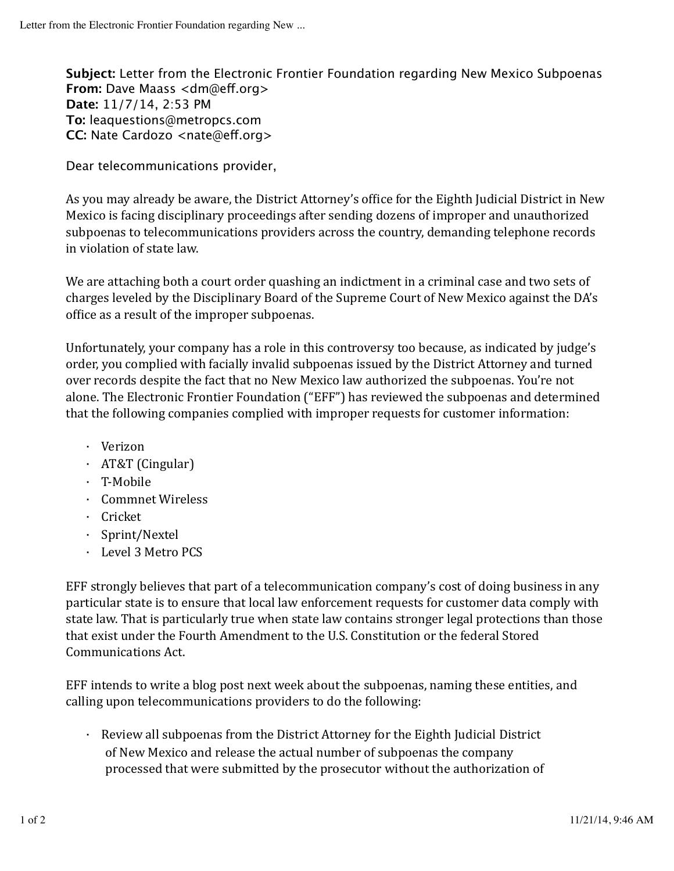**Subject:** Letter from the Electronic Frontier Foundation regarding New Mexico Subpoenas **From: Dave Maass <dm@eff.org> Date:** 11/7/14, 2:53 PM **To:** leaquestions@metropcs.com **CC: Nate Cardozo <nate@eff.org>** 

Dear telecommunications provider,

As you may already be aware, the District Attorney's office for the Eighth Judicial District in New Mexico is facing disciplinary proceedings after sending dozens of improper and unauthorized subpoenas to telecommunications providers across the country, demanding telephone records in violation of state law.

We are attaching both a court order quashing an indictment in a criminal case and two sets of charges leveled by the Disciplinary Board of the Supreme Court of New Mexico against the DA's office as a result of the improper subpoenas.

Unfortunately, your company has a role in this controversy too because, as indicated by judge's order, you complied with facially invalid subpoenas issued by the District Attorney and turned over records despite the fact that no New Mexico law authorized the subpoenas. You're not alone. The Electronic Frontier Foundation ("EFF") has reviewed the subpoenas and determined that the following companies complied with improper requests for customer information:

- · Verizon
- · AT&T (Cingular)
- · T-Mobile
- · Commnet Wireless
- · Cricket
- · Sprint/Nextel
- · Level 3 Metro PCS

EFF strongly believes that part of a telecommunication company's cost of doing business in any particular state is to ensure that local law enforcement requests for customer data comply with state law. That is particularly true when state law contains stronger legal protections than those that exist under the Fourth Amendment to the U.S. Constitution or the federal Stored Communications Act.

EFF intends to write a blog post next week about the subpoenas, naming these entities, and calling upon telecommunications providers to do the following:

 $\cdot$  Review all subpoenas from the District Attorney for the Eighth Judicial District of New Mexico and release the actual number of subpoenas the company processed that were submitted by the prosecutor without the authorization of